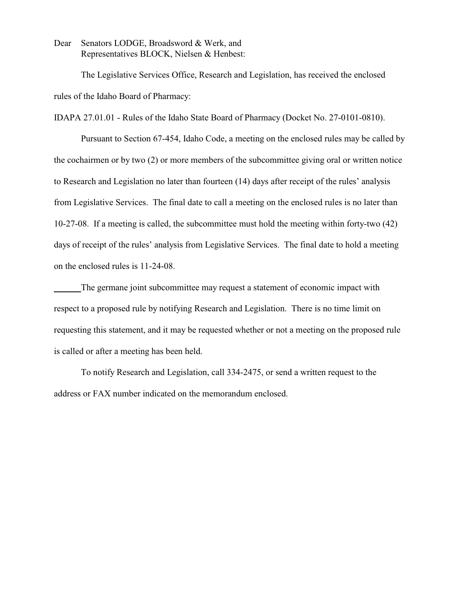Dear Senators LODGE, Broadsword & Werk, and Representatives BLOCK, Nielsen & Henbest:

The Legislative Services Office, Research and Legislation, has received the enclosed rules of the Idaho Board of Pharmacy:

IDAPA 27.01.01 - Rules of the Idaho State Board of Pharmacy (Docket No. 27-0101-0810).

Pursuant to Section 67-454, Idaho Code, a meeting on the enclosed rules may be called by the cochairmen or by two (2) or more members of the subcommittee giving oral or written notice to Research and Legislation no later than fourteen (14) days after receipt of the rules' analysis from Legislative Services. The final date to call a meeting on the enclosed rules is no later than 10-27-08. If a meeting is called, the subcommittee must hold the meeting within forty-two (42) days of receipt of the rules' analysis from Legislative Services. The final date to hold a meeting on the enclosed rules is 11-24-08.

The germane joint subcommittee may request a statement of economic impact with respect to a proposed rule by notifying Research and Legislation. There is no time limit on requesting this statement, and it may be requested whether or not a meeting on the proposed rule is called or after a meeting has been held.

To notify Research and Legislation, call 334-2475, or send a written request to the address or FAX number indicated on the memorandum enclosed.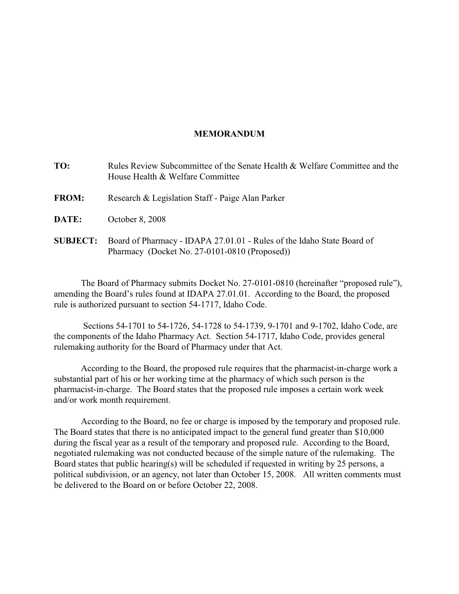### **MEMORANDUM**

| TO:             | Rules Review Subcommittee of the Senate Health & Welfare Committee and the<br>House Health & Welfare Committee          |
|-----------------|-------------------------------------------------------------------------------------------------------------------------|
| <b>FROM:</b>    | Research & Legislation Staff - Paige Alan Parker                                                                        |
| DATE:           | October 8, 2008                                                                                                         |
| <b>SUBJECT:</b> | Board of Pharmacy - IDAPA 27.01.01 - Rules of the Idaho State Board of<br>Pharmacy (Docket No. 27-0101-0810 (Proposed)) |

The Board of Pharmacy submits Docket No. 27-0101-0810 (hereinafter "proposed rule"), amending the Board's rules found at IDAPA 27.01.01. According to the Board, the proposed rule is authorized pursuant to section 54-1717, Idaho Code.

 Sections 54-1701 to 54-1726, 54-1728 to 54-1739, 9-1701 and 9-1702, Idaho Code, are the components of the Idaho Pharmacy Act. Section 54-1717, Idaho Code, provides general rulemaking authority for the Board of Pharmacy under that Act.

According to the Board, the proposed rule requires that the pharmacist-in-charge work a substantial part of his or her working time at the pharmacy of which such person is the pharmacist-in-charge. The Board states that the proposed rule imposes a certain work week and/or work month requirement.

According to the Board, no fee or charge is imposed by the temporary and proposed rule. The Board states that there is no anticipated impact to the general fund greater than \$10,000 during the fiscal year as a result of the temporary and proposed rule. According to the Board, negotiated rulemaking was not conducted because of the simple nature of the rulemaking. The Board states that public hearing(s) will be scheduled if requested in writing by 25 persons, a political subdivision, or an agency, not later than October 15, 2008. All written comments must be delivered to the Board on or before October 22, 2008.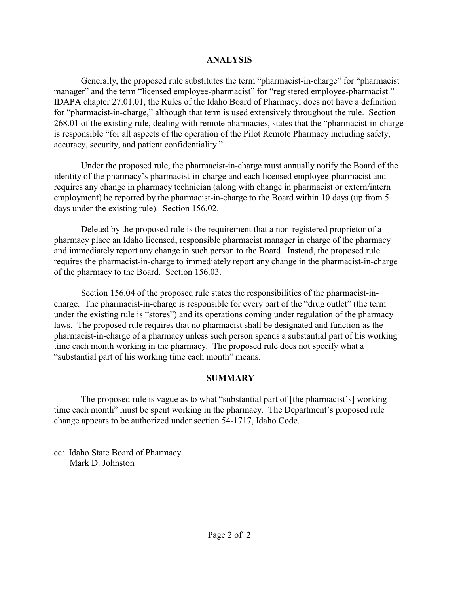## **ANALYSIS**

Generally, the proposed rule substitutes the term "pharmacist-in-charge" for "pharmacist manager" and the term "licensed employee-pharmacist" for "registered employee-pharmacist." IDAPA chapter 27.01.01, the Rules of the Idaho Board of Pharmacy, does not have a definition for "pharmacist-in-charge," although that term is used extensively throughout the rule. Section 268.01 of the existing rule, dealing with remote pharmacies, states that the "pharmacist-in-charge is responsible "for all aspects of the operation of the Pilot Remote Pharmacy including safety, accuracy, security, and patient confidentiality."

Under the proposed rule, the pharmacist-in-charge must annually notify the Board of the identity of the pharmacy's pharmacist-in-charge and each licensed employee-pharmacist and requires any change in pharmacy technician (along with change in pharmacist or extern/intern employment) be reported by the pharmacist-in-charge to the Board within 10 days (up from 5 days under the existing rule). Section 156.02.

Deleted by the proposed rule is the requirement that a non-registered proprietor of a pharmacy place an Idaho licensed, responsible pharmacist manager in charge of the pharmacy and immediately report any change in such person to the Board. Instead, the proposed rule requires the pharmacist-in-charge to immediately report any change in the pharmacist-in-charge of the pharmacy to the Board. Section 156.03.

Section 156.04 of the proposed rule states the responsibilities of the pharmacist-incharge. The pharmacist-in-charge is responsible for every part of the "drug outlet" (the term under the existing rule is "stores") and its operations coming under regulation of the pharmacy laws. The proposed rule requires that no pharmacist shall be designated and function as the pharmacist-in-charge of a pharmacy unless such person spends a substantial part of his working time each month working in the pharmacy. The proposed rule does not specify what a "substantial part of his working time each month" means.

## **SUMMARY**

The proposed rule is vague as to what "substantial part of [the pharmacist's] working time each month" must be spent working in the pharmacy. The Department's proposed rule change appears to be authorized under section 54-1717, Idaho Code.

cc: Idaho State Board of Pharmacy Mark D. Johnston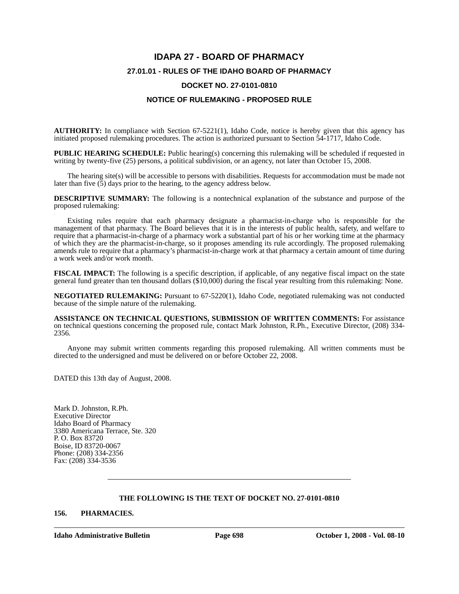# **IDAPA 27 - BOARD OF PHARMACY 27.01.01 - RULES OF THE IDAHO BOARD OF PHARMACY DOCKET NO. 27-0101-0810**

### **NOTICE OF RULEMAKING - PROPOSED RULE**

**AUTHORITY:** In compliance with Section 67-5221(1), Idaho Code, notice is hereby given that this agency has initiated proposed rulemaking procedures. The action is authorized pursuant to Section 54-1717, Idaho Code.

**PUBLIC HEARING SCHEDULE:** Public hearing(s) concerning this rulemaking will be scheduled if requested in writing by twenty-five (25) persons, a political subdivision, or an agency, not later than October 15, 2008.

The hearing site(s) will be accessible to persons with disabilities. Requests for accommodation must be made not later than five  $(5)$  days prior to the hearing, to the agency address below.

**DESCRIPTIVE SUMMARY:** The following is a nontechnical explanation of the substance and purpose of the proposed rulemaking:

Existing rules require that each pharmacy designate a pharmacist-in-charge who is responsible for the management of that pharmacy. The Board believes that it is in the interests of public health, safety, and welfare to require that a pharmacist-in-charge of a pharmacy work a substantial part of his or her working time at the pharmacy of which they are the pharmacist-in-charge, so it proposes amending its rule accordingly. The proposed rulemaking amends rule to require that a pharmacy's pharmacist-in-charge work at that pharmacy a certain amount of time during a work week and/or work month.

**FISCAL IMPACT:** The following is a specific description, if applicable, of any negative fiscal impact on the state general fund greater than ten thousand dollars (\$10,000) during the fiscal year resulting from this rulemaking: None.

**NEGOTIATED RULEMAKING:** Pursuant to 67-5220(1), Idaho Code, negotiated rulemaking was not conducted because of the simple nature of the rulemaking.

**ASSISTANCE ON TECHNICAL QUESTIONS, SUBMISSION OF WRITTEN COMMENTS:** For assistance on technical questions concerning the proposed rule, contact Mark Johnston, R.Ph., Executive Director, (208) 334- 2356.

Anyone may submit written comments regarding this proposed rulemaking. All written comments must be directed to the undersigned and must be delivered on or before October 22, 2008.

DATED this 13th day of August, 2008.

Mark D. Johnston, R.Ph. Executive Director Idaho Board of Pharmacy 3380 Americana Terrace, Ste. 320 P. O. Box 83720 Boise, ID 83720-0067 Phone: (208) 334-2356 Fax: (208) 334-3536

### **THE FOLLOWING IS THE TEXT OF DOCKET NO. 27-0101-0810**

#### **156. PHARMACIES.**

**Idaho Administrative Bulletin Page 698 October 1, 2008 - Vol. 08-10**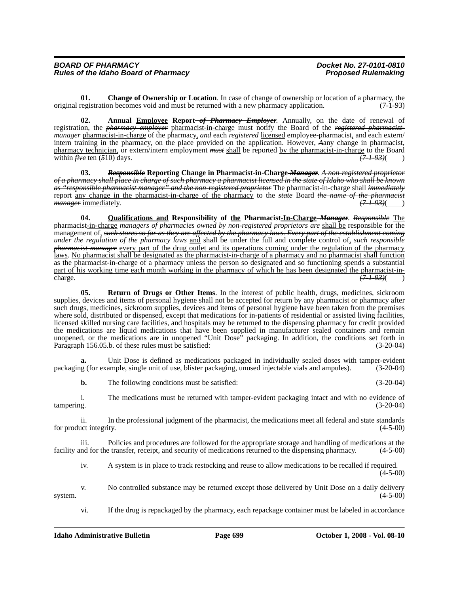| <b>BOARD OF PHARMACY</b>                    | Docket No. 27-0101-0810    |
|---------------------------------------------|----------------------------|
| <b>Rules of the Idaho Board of Pharmacy</b> | <b>Proposed Rulemaking</b> |

**01. Change of Ownership or Location**. In case of change of ownership or location of a pharmacy, the original registration becomes void and must be returned with a new pharmacy application. (7-1-93)

**02.** Annual **Employee Report**-of Pharmacy Employer. Annually, on the date of renewal of registration, the *pharmacy employer* pharmacist-in-charge must notify the Board of the *registered pharmacistmanager* pharmacist-in-charge of the pharmacy, *and* each *registered* licensed employee-pharmacist, and each extern/ intern training in the pharmacy, on the place provided on the application. However, *A*any change in pharmacist, pharmacy technician, or extern/intern employment *must* shall be reported by the pharmacist-in-charge to the Board within  $\ddot{H}$  ten (510) days. within  $\hat{f}$ *ive* ten (510) days.

**03.** *Responsible* **Reporting Change in Pharmacist-in-Charge** *Manager*. *A non-registered proprietor of a pharmacy shall place in charge of such pharmacy a pharmacist licensed in the state of Idaho who shall be known as "responsible pharmacist manager" and the non-registered proprietor* The pharmacist-in-charge shall *immediately* report <u>any change in the pharmacist-in-charge of the pharmacy</u> to the *state* Board *the name of the pharmacist*<br> *manager* immediately. (7-1-93)( *manager* immediately.

**04. Qualifications and Responsibility of the Pharmacist-In-Charge** *Manager*. *Responsible* The pharmacist-in-charge *managers of pharmacies owned by non-registered proprietors are* shall be responsible for the management of, *such stores so far as they are affected by the pharmacy laws. Every part of the establishment coming under the regulation of the pharmacy laws* and shall be under the full and complete control of, *such responsible pharmacist manager* every part of the drug outlet and its operations coming under the regulation of the pharmacy laws. No pharmacist shall be designated as the pharmacist-in-charge of a pharmacy and no pharmacist shall function as the pharmacist-in-charge of a pharmacy unless the person so designated and so functioning spends a substantial part of his working time each month working in the pharmacy of which he has been designated the pharmacist-in-<br>charge.  $(7.193)($ charge. *(7-1-93)*( )

**05. Return of Drugs or Other Items**. In the interest of public health, drugs, medicines, sickroom supplies, devices and items of personal hygiene shall not be accepted for return by any pharmacist or pharmacy after such drugs, medicines, sickroom supplies, devices and items of personal hygiene have been taken from the premises where sold, distributed or dispensed, except that medications for in-patients of residential or assisted living facilities, licensed skilled nursing care facilities, and hospitals may be returned to the dispensing pharmacy for credit provided the medications are liquid medications that have been supplied in manufacturer sealed containers and remain unopened, or the medications are in unopened "Unit Dose" packaging. In addition, the conditions set forth in Paragraph 156.05.b. of these rules must be satisfied: (3-20-04)

Unit Dose is defined as medications packaged in individually sealed doses with tamper-evident packaging (for example, single unit of use, blister packaging, unused injectable vials and ampules). (3-20-04)

**b.** The following conditions must be satisfied: (3-20-04)

i. The medications must be returned with tamper-evident packaging intact and with no evidence of tampering. (3-20-04)

ii. In the professional judgment of the pharmacist, the medications meet all federal and state standards for product integrity.

iii. Policies and procedures are followed for the appropriate storage and handling of medications at the facility and for the transfer, receipt, and security of medications returned to the dispensing pharmacy. (4-5-00)

iv. A system is in place to track restocking and reuse to allow medications to be recalled if required.  $(4-5-00)$ 

v. No controlled substance may be returned except those delivered by Unit Dose on a daily delivery system.  $(4-5-00)$ 

vi. If the drug is repackaged by the pharmacy, each repackage container must be labeled in accordance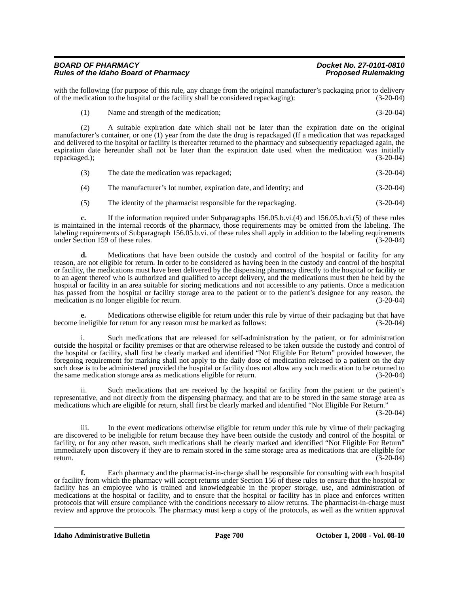| <b>BOARD OF PHARMACY</b>                    | Docket No. 27-0101-0810    |
|---------------------------------------------|----------------------------|
| <b>Rules of the Idaho Board of Pharmacy</b> | <b>Proposed Rulemaking</b> |

with the following (for purpose of this rule, any change from the original manufacturer's packaging prior to delivery<br>of the medication to the hospital or the facility shall be considered repackaging): (3-20-04) of the medication to the hospital or the facility shall be considered repackaging):

(1) Name and strength of the medication; (3-20-04)

(2) A suitable expiration date which shall not be later than the expiration date on the original manufacturer's container, or one (1) year from the date the drug is repackaged (If a medication that was repackaged and delivered to the hospital or facility is thereafter returned to the pharmacy and subsequently repackaged again, the expiration date hereunder shall not be later than the expiration date used when the medication was initially repackaged.); (3-20-04)

- (3) The date the medication was repackaged; (3-20-04)
- (4) The manufacturer's lot number, expiration date, and identity; and (3-20-04)
- (5) The identity of the pharmacist responsible for the repackaging. (3-20-04)

**c.** If the information required under Subparagraphs 156.05.b.vi.(4) and 156.05.b.vi.(5) of these rules is maintained in the internal records of the pharmacy, those requirements may be omitted from the labeling. The labeling requirements of Subparagraph 156.05.b.vi. of these rules shall apply in addition to the labeling requirements under Section 159 of these rules. (3-20-04)

**d.** Medications that have been outside the custody and control of the hospital or facility for any reason, are not eligible for return. In order to be considered as having been in the custody and control of the hospital or facility, the medications must have been delivered by the dispensing pharmacy directly to the hospital or facility or to an agent thereof who is authorized and qualified to accept delivery, and the medications must then be held by the hospital or facility in an area suitable for storing medications and not accessible to any patients. Once a medication has passed from the hospital or facility storage area to the patient or to the patient's designee for any reason, the medication is no longer eligible for return. (3-20-04) medication is no longer eligible for return.

**e.** Medications otherwise eligible for return under this rule by virtue of their packaging but that have become ineligible for return for any reason must be marked as follows: (3-20-04)

i. Such medications that are released for self-administration by the patient, or for administration outside the hospital or facility premises or that are otherwise released to be taken outside the custody and control of the hospital or facility, shall first be clearly marked and identified "Not Eligible For Return" provided however, the foregoing requirement for marking shall not apply to the daily dose of medication released to a patient on the day such dose is to be administered provided the hospital or facility does not allow any such medication to be returned to the same medication storage area as medications eligible for return. (3-20-04)

ii. Such medications that are received by the hospital or facility from the patient or the patient's representative, and not directly from the dispensing pharmacy, and that are to be stored in the same storage area as medications which are eligible for return, shall first be clearly marked and identified "Not Eligible For Return."

(3-20-04)

iii. In the event medications otherwise eligible for return under this rule by virtue of their packaging are discovered to be ineligible for return because they have been outside the custody and control of the hospital or facility, or for any other reason, such medications shall be clearly marked and identified "Not Eligible For Return" immediately upon discovery if they are to remain stored in the same storage area as medications that are eligible for return. (3-20-04) return.  $(3-20-04)$ 

**f.** Each pharmacy and the pharmacist-in-charge shall be responsible for consulting with each hospital or facility from which the pharmacy will accept returns under Section 156 of these rules to ensure that the hospital or facility has an employee who is trained and knowledgeable in the proper storage, use, and administration of medications at the hospital or facility, and to ensure that the hospital or facility has in place and enforces written protocols that will ensure compliance with the conditions necessary to allow returns. The pharmacist-in-charge must review and approve the protocols. The pharmacy must keep a copy of the protocols, as well as the written approval